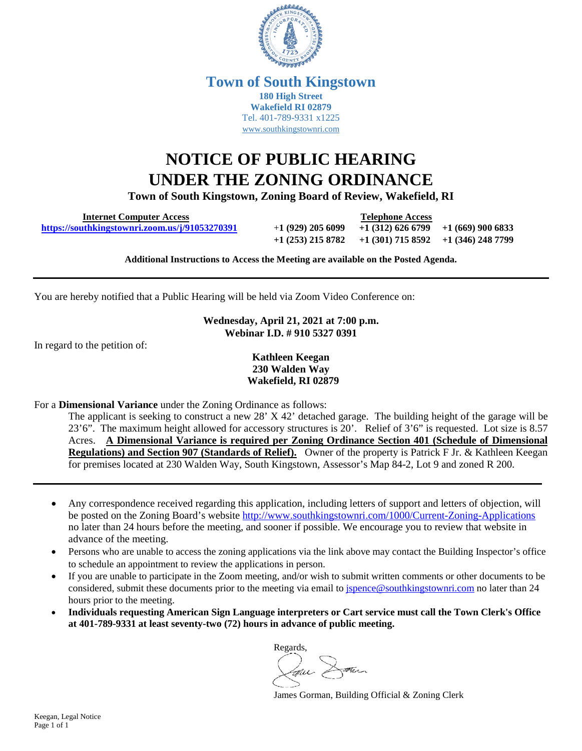

## **Town of South Kingstown 180 High Street Wakefield RI 02879** Tel. 401-789-9331 x1225 [www.southkingstownri.com](http://www.southkingstownri.com/)

## **NOTICE OF PUBLIC HEARING UNDER THE ZONING ORDINANCE**

**Town of South Kingstown, Zoning Board of Review, Wakefield, RI** 

 **Internet Computer Access Telephone Access <https://southkingstownri.zoom.us/j/91053270391>**+**1 (929) 205 6099 +1 (312) 626 6799 +1 (669) 900 6833**

**+1 (253) 215 8782 +1 (301) 715 8592 +1 (346) 248 7799** 

**Additional Instructions to Access the Meeting are available on the Posted Agenda.** 

You are hereby notified that a Public Hearing will be held via Zoom Video Conference on:

**Wednesday, April 21, 2021 at 7:00 p.m. Webinar I.D. # 910 5327 0391** 

In regard to the petition of:

**Kathleen Keegan 230 Walden Way Wakefield, RI 02879** 

For a **Dimensional Variance** under the Zoning Ordinance as follows:

The applicant is seeking to construct a new 28' X 42' detached garage. The building height of the garage will be 23'6". The maximum height allowed for accessory structures is 20'. Relief of 3'6" is requested. Lot size is 8.57 Acres. **A Dimensional Variance is required per Zoning Ordinance Section 401 (Schedule of Dimensional Regulations) and Section 907 (Standards of Relief).** Owner of the property is Patrick F Jr. & Kathleen Keegan for premises located at 230 Walden Way, South Kingstown, Assessor's Map 84-2, Lot 9 and zoned R 200.

- Any correspondence received regarding this application, including letters of support and letters of objection, will be posted on the Zoning Board's website<http://www.southkingstownri.com/1000/Current-Zoning-Applications> no later than 24 hours before the meeting, and sooner if possible. We encourage you to review that website in advance of the meeting.
- Persons who are unable to access the zoning applications via the link above may contact the Building Inspector's office to schedule an appointment to review the applications in person.
- If you are unable to participate in the Zoom meeting, and/or wish to submit written comments or other documents to be considered, submit these documents prior to the meeting via email to [jspence@southkingstownri.com](mailto:jspence@southkingstownri.com) no later than 24 hours prior to the meeting.
- **Individuals requesting American Sign Language interpreters or Cart service must call the Town Clerk's Office at 401-789-9331 at least seventy-two (72) hours in advance of public meeting.**

Regards, Jour Dam

James Gorman, Building Official & Zoning Clerk